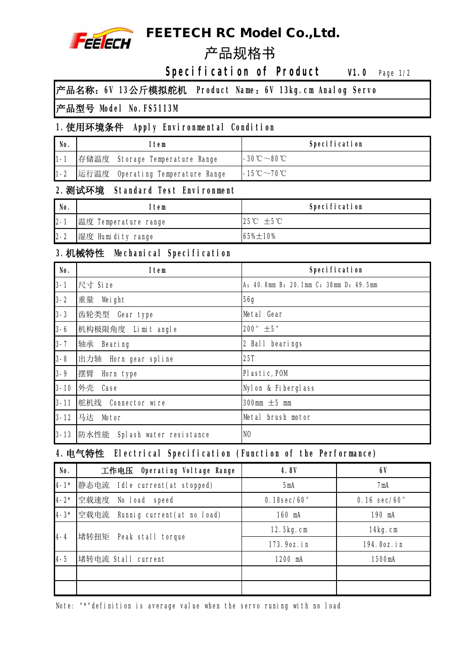

# **FEETECH RC Model Co.,Ltd.**

# **Specification of Product W.0 Page 1/2**

**产品名称:6V 13公斤模拟舵机 Product Name:6V 13kg.cm Analog Servo**

#### **产品型号 Model No.FS5113M**

### **1.使用环境条件 Apply Environmental Condition**

| No.     | Item |                                  | <b>Specification</b>                                                                                                  |
|---------|------|----------------------------------|-----------------------------------------------------------------------------------------------------------------------|
| $1 - 1$ |      | 存储温度 Storage Temperature Range   | $\mathsf{I}\text{-}30^\circ\hspace{-3pt}\mathbb{C}\!\sim\!\mathsf{80}^\circ\hspace{-3pt}\mathbb{C}$ .                 |
| $1 - 2$ |      | 运行温度 Operating Temperature Range | $\mathsf{I}\text{-}\mathsf{15}\text{\,}^\circ \text{\,}\mathsf{C}\text{\,}^\sim \mathsf{70}\text{\,}^\circ \text{\,}$ |

#### **2.测试环境 Standard Test Environment**

| No.     | ltem                 | <b>Specification</b>                   |
|---------|----------------------|----------------------------------------|
| $2 - 1$ | 温度 Temperature range | $25^{\circ}\mathrm{C}$ +5 $\mathrm{C}$ |
| $2 - 2$ | 湿度 Humidity range    | $65\% \pm 10\%$                        |

#### **3.机械特性 Mechanical Specification**

| No.      | <b>Item</b>                  | <b>Specification</b>                  |
|----------|------------------------------|---------------------------------------|
| $3 - 1$  | 尺寸 Size                      | A: 40.8mm B: 20.1mm C: 38mm D: 49.5mm |
| $3 - 2$  | 重量<br>Weight                 | <b>56g</b>                            |
| $3 - 3$  | 齿轮类型<br>Gear type            | Metal Gear                            |
| $3 - 6$  | 机构极限角度 Limit angle           | 200 $^{\circ}$ $\pm$ 5 $^{\circ}$     |
| $3 - 7$  | 轴承<br><b>Bearing</b>         | 2 Ball bearings                       |
| $3 - 8$  | 出力轴 Horn gear spline         | <b>25T</b>                            |
| $3 - 9$  | 摆臂<br>Horn type              | Plastic, POM                          |
| $3 - 10$ | 外壳<br>Case                   | <b>Nylon &amp; Fiberglass</b>         |
| $3 - 11$ | 舵机线 Connector wire           | 300mm $\pm$ 5 mm                      |
| $3 - 12$ | 马达 Motor                     | Metal brush motor                     |
| $3 - 13$ | 防水性能 Splash water resistance | INO                                   |

## **4.电气特性 Electrical Specification (Function of the Performance)**

| No.       | 工作电压 Operating Voltage Range        | <b>4.8V</b>              | 6V                            |
|-----------|-------------------------------------|--------------------------|-------------------------------|
| $14 - 1*$ | 静态电流<br>Idle current (at stopped)   | 5mA                      | 7mA                           |
| $4 - 2*$  | 空载速度<br>No load speed               | $0.18$ sec/60 $^{\circ}$ | $0.16 \text{ sec}/60^{\circ}$ |
| $4 - 3*$  | 空载电流<br>Runnig current (at no load) | 160 mA                   | 190 mA                        |
| 14-4      | 堵转扭矩<br>Peak stall torque           | 12.5kg.cm                | 14kg.cm                       |
|           |                                     | 173.9oz.in               | 194.8oz.in                    |
| 4-5       | 堵转电流 Stall current                  | 1200 mA                  | 1500mA                        |
|           |                                     |                          |                               |
|           |                                     |                          |                               |

Note: "\*"definition is average value when the servo runing with no load